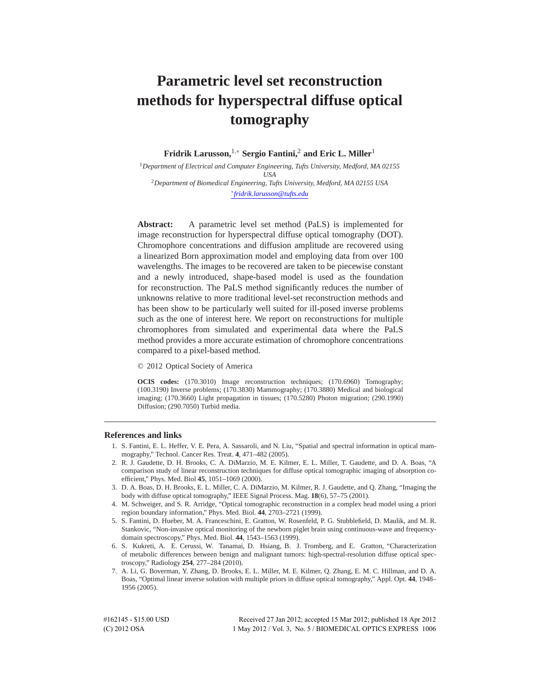# **Parametric level set reconstruction methods for hyperspectral diffuse optical tomography**

**Fridrik Larusson,**1,<sup>∗</sup> **Sergio Fantini,**<sup>2</sup> **and Eric L. Miller**<sup>1</sup>

<sup>1</sup>*Department of Electrical and Computer Engineering, Tufts University, Medford, MA 02155 USA* <sup>2</sup>*Department of Biomedical Engineering, Tufts University, Medford, MA 02155 USA* ∗ *fridrik.larusson@tufts.edu*

**Abstract:** A parametric level set method (PaLS) is implemented for image reconstruction for hyperspectral diffuse optical tomography (DOT). Chromophore concentrations and diffusion amplitude are recovered using a linearized Born approximation model and employing data from over 100 wavelengths. The images to be recovered are taken to be piecewise constant and a newly introduced, shape-based model is used as the foundation for reconstruction. The PaLS method significantly reduces the number of unknowns relative to more traditional level-set reconstruction methods and has been show to be particularly well suited for ill-posed inverse problems such as the one of interest here. We report on reconstructions for multiple chromophores from simulated and experimental data where the PaLS method provides a more accurate estimation of chromophore concentrations compared to a pixel-based method.

© 2012 Optical Society of America

**OCIS codes:** (170.3010) Image reconstruction techniques; (170.6960) Tomography; (100.3190) Inverse problems; (170.3830) Mammography; (170.3880) Medical and biological imaging; (170.3660) Light propagation in tissues; (170.5280) Photon migration; (290.1990) Diffusion; (290.7050) Turbid media.

# **References and links**

- 1. S. Fantini, E. L. Heffer, V. E. Pera, A. Sassaroli, and N. Liu, "Spatial and spectral information in optical mammography," Technol. Cancer Res. Treat. **4**, 471–482 (2005).
- 2. R. J. Gaudette, D. H. Brooks, C. A. DiMarzio, M. E. Kilmer, E. L. Miller, T. Gaudette, and D. A. Boas, "A comparison study of linear reconstruction techniques for diffuse optical tomographic imaging of absorption coefficient," Phys. Med. Biol **45**, 1051–1069 (2000).
- 3. D. A. Boas, D. H. Brooks, E. L. Miller, C. A. DiMarzio, M. Kilmer, R. J. Gaudette, and Q. Zhang, "Imaging the body with diffuse optical tomography," IEEE Signal Process. Mag. **18**(6), 57–75 (2001).
- 4. M. Schweiger, and S. R. Arridge, "Optical tomographic reconstruction in a complex head model using a priori region boundary information," Phys. Med. Biol. **44**, 2703–2721 (1999).
- 5. S. Fantini, D. Hueber, M. A. Franceschini, E. Gratton, W. Rosenfeld, P. G. Stubblefield, D. Maulik, and M. R. Stankovic, "Non-invasive optical monitoring of the newborn piglet brain using continuous-wave and frequencydomain spectroscopy," Phys. Med. Biol. **44**, 1543–1563 (1999).
- 6. S. Kukreti, A. E. Cerussi, W. Tanamai, D. Hsiang, B. J. Tromberg, and E. Gratton, "Characterization of metabolic differences between benign and malignant tumors: high-spectral-resolution diffuse optical spectroscopy," Radiology **254**, 277–284 (2010).
- 7. A. Li, G. Boverman, Y. Zhang, D. Brooks, E. L. Miller, M. E. Kilmer, Q. Zhang, E. M. C. Hillman, and D. A. Boas, "Optimal linear inverse solution with multiple priors in diffuse optical tomography," Appl. Opt. **44**, 1948– 1956 (2005).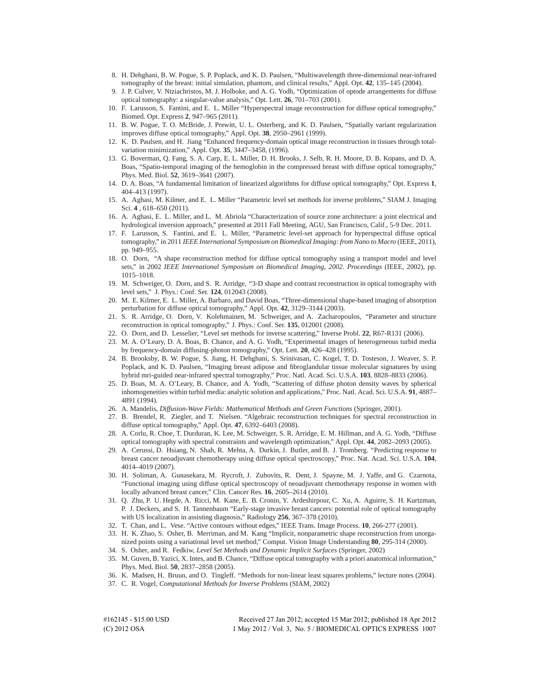- 8. H. Dehghani, B. W. Pogue, S. P. Poplack, and K. D. Paulsen, "Multiwavelength three-dimensional near-infrared tomography of the breast: initial simulation, phantom, and clinical results," Appl. Opt. **42**, 135–145 (2004).
- 9. J. P. Culver, V. Ntziachristos, M. J. Holboke, and A. G. Yodh, "Optimization of optode arrangements for diffuse optical tomography: a singular-value analysis," Opt. Lett. **26**, 701–703 (2001).
- 10. F. Larusson, S. Fantini, and E. L. Miller "Hyperspectral image reconstruction for diffuse optical tomography," Biomed. Opt. Express **2**, 947–965 (2011).
- 11. B. W. Pogue, T. O. McBride, J. Prewitt, U. L. Osterberg, and K. D. Paulsen, "Spatially variant regularization improves diffuse optical tomography," Appl. Opt. **38**, 2950–2961 (1999).
- 12. K. D. Paulsen, and H. Jiang "Enhanced frequency-domain optical image reconstruction in tissues through totalvariation minimization," Appl. Opt. **35**, 3447–3458, (1996).
- 13. G. Boverman, Q. Fang, S. A. Carp, E. L. Miller, D. H. Brooks, J. Selb, R. H. Moore, D. B. Kopans, and D. A. Boas, "Spatio-temporal imaging of the hemoglobin in the compressed breast with diffuse optical tomography," Phys. Med. Biol. **52**, 3619–3641 (2007).
- 14. D. A. Boas, "A fundamental limitation of linearized algorithms for diffuse optical tomography," Opt. Express **1**, 404–413 (1997).
- 15. A. Aghasi, M. Kilmer, and E. L. Miller "Parametric level set methods for inverse problems," SIAM J. Imaging Sci. **4** , 618–650 (2011).
- 16. A. Aghasi, E. L. Miller, and L. M. Abriola "Characterization of source zone architecture: a joint electrical and hydrological inversion approach," presented at 2011 Fall Meeting, AGU, San Francisco, Calif., 5-9 Dec. 2011.
- 17. F. Larusson, S. Fantini, and E. L. Miller, "Parametric level-set approach for hyperspectral diffuse optical tomography," in 2011 *IEEE International Symposium on Biomedical Imaging: from Nano to Macro* (IEEE, 2011), pp. 949–955.
- 18. O. Dorn, "A shape reconstruction method for diffuse optical tomography using a transport model and level sets," in 2002 *IEEE International Symposium on Biomedical Imaging, 2002. Proceedings* (IEEE, 2002), pp. 1015–1018.
- 19. M. Schweiger, O. Dorn, and S. R. Arridge, "3-D shape and contrast reconstruction in optical tomography with level sets," J. Phys.: Conf. Ser. **124**, 012043 (2008).
- 20. M. E. Kilmer, E. L. Miller, A. Barbaro, and David Boas, "Three-dimensional shape-based imaging of absorption perturbation for diffuse optical tomography," Appl. Opt. **42**, 3129–3144 (2003).
- 21. S. R. Arridge, O. Dorn, V. Kolehmainen, M. Schweiger, and A. Zacharopoulos, "Parameter and structure reconstruction in optical tomography," J. Phys.: Conf. Ser. **135**, 012001 (2008).
- 22. O. Dorn, and D. Lesselier, "Level set methods for inverse scattering," Inverse Probl. **22**, R67-R131 (2006).
- 23. M. A. O'Leary, D. A. Boas, B. Chance, and A. G. Yodh, "Experimental images of heterogeneous turbid media by frequency-domain diffusing-photon tomography," Opt. Lett. **20**, 426–428 (1995).
- 24. B. Brooksby, B. W. Pogue, S. Jiang, H. Dehghani, S. Srinivasan, C. Kogel, T. D. Tosteson, J. Weaver, S. P. Poplack, and K. D. Paulsen, "Imaging breast adipose and fibroglandular tissue molecular signatures by using hybrid mri-guided near-infrared spectral tomography," Proc. Natl. Acad. Sci. U.S.A. **103**, 8828–8833 (2006).
- 25. D. Boas, M. A. O'Leary, B. Chance, and A. Yodh, "Scattering of diffuse photon density waves by spherical inhomogeneities within turbid media: analytic solution and applications," Proc. Natl. Acad. Sci. U.S.A. **91**, 4887– 4891 (1994).
- 26. A. Mandelis, *Diffusion-Wave Fields: Mathematical Methods and Green Functions* (Springer, 2001).
- 27. B. Brendel, R. Ziegler, and T. Nielsen. "Algebraic reconstruction techniques for spectral reconstruction in diffuse optical tomography," Appl. Opt. **47**, 6392–6403 (2008).
- 28. A. Corlu, R. Choe, T. Durduran, K. Lee, M. Schweiger, S. R. Arridge, E. M. Hillman, and A. G. Yodh, "Diffuse optical tomography with spectral constraints and wavelength optimization," Appl. Opt. **44**, 2082–2093 (2005).
- 29. A. Cerussi, D. Hsiang, N. Shah, R. Mehta, A. Durkin, J. Butler, and B. J. Tromberg. "Predicting response to breast cancer neoadjuvant chemotherapy using diffuse optical spectroscopy," Proc. Nat. Acad. Sci. U.S.A. **104**, 4014–4019 (2007).
- 30. H. Soliman, A. Gunasekara, M. Rycroft, J. Zubovits, R. Dent, J. Spayne, M. J. Yaffe, and G. Czarnota, "Functional imaging using diffuse optical spectroscopy of neoadjuvant chemotherapy response in women with locally advanced breast cancer," Clin. Cancer Res. **16**, 2605–2614 (2010).
- 31. Q. Zhu, P. U. Hegde, A. Ricci, M. Kane, E. B. Cronin, Y. Ardeshirpour, C. Xu, A. Aguirre, S. H. Kurtzman, P. J. Deckers, and S. H. Tannenbaum "Early-stage invasive breast cancers: potential role of optical tomography with US localization in assisting diagnosis," Radiology **256**, 367–378 (2010).
- 32. T. Chan, and L. Vese. "Active contours without edges," IEEE Trans. Image Process. **10**, 266-277 (2001).
- 33. H. K. Zhao, S. Osher, B. Merriman, and M. Kang "Implicit, nonparametric shape reconstruction from unorganized points using a variational level set method," Comput. Vision Image Understanding **80**, 295-314 (2000).
- 34. S. Osher, and R. Fedkiw, *Level Set Methods and Dynamic Implicit Surfaces* (Springer, 2002)
- 35. M. Guven, B. Yazici, X. Intes, and B. Chance, "Diffuse optical tomography with a priori anatomical information," Phys. Med. Biol. **50**, 2837–2858 (2005).
- 36. K. Madsen, H. Bruun, and O. Tingleff. "Methods for non-linear least squares problems," lecture notes (2004).
- 37. C. R. Vogel, *Computational Methods for Inverse Problems* (SIAM, 2002)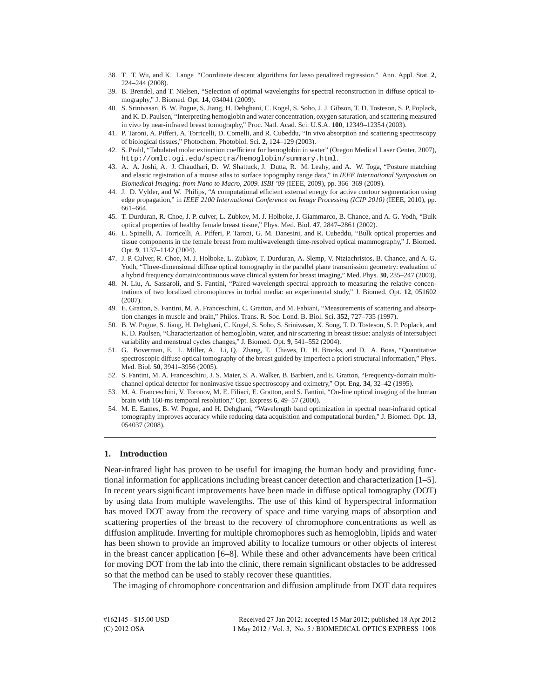- 38. T. T. Wu, and K. Lange "Coordinate descent algorithms for lasso penalized regression," Ann. Appl. Stat. **2**, 224–244 (2008).
- 39. B. Brendel, and T. Nielsen, "Selection of optimal wavelengths for spectral reconstruction in diffuse optical tomography," J. Biomed. Opt. **14**, 034041 (2009).
- 40. S. Srinivasan, B. W. Pogue, S. Jiang, H. Dehghani, C. Kogel, S. Soho, J. J. Gibson, T. D. Tosteson, S. P. Poplack, and K. D. Paulsen, "Interpreting hemoglobin and water concentration, oxygen saturation, and scattering measured in vivo by near-infrared breast tomography," Proc. Natl. Acad. Sci. U.S.A. **100**, 12349–12354 (2003).
- 41. P. Taroni, A. Pifferi, A. Torricelli, D. Comelli, and R. Cubeddu, "In vivo absorption and scattering spectroscopy of biological tissues," Photochem. Photobiol. Sci. **2**, 124–129 (2003).
- 42. S. Prahl, "Tabulated molar extinction coefficient for hemoglobin in water" (Oregon Medical Laser Center, 2007), http://omlc.ogi.edu/spectra/hemoglobin/summary.html.
- 43. A. A. Joshi, A. J. Chaudhari, D. W. Shattuck, J. Dutta, R. M. Leahy, and A. W. Toga, "Posture matching and elastic registration of a mouse atlas to surface topography range data," in *IEEE International Symposium on Biomedical Imaging: from Nano to Macro, 2009. ISBI '09* (IEEE, 2009), pp. 366–369 (2009).
- 44. J. D. Vylder, and W. Philips, "A computational efficient external energy for active contour segmentation using edge propagation," in *IEEE 2100 International Conference on Image Processing (ICIP 2010)* (IEEE, 2010), pp. 661–664.
- 45. T. Durduran, R. Choe, J. P. culver, L. Zubkov, M. J. Holboke, J. Giammarco, B. Chance, and A. G. Yodh, "Bulk optical properties of healthy female breast tissue," Phys. Med. Biol. **47**, 2847–2861 (2002).
- 46. L. Spinelli, A. Torricelli, A. Pifferi, P. Taroni, G. M. Danesini, and R. Cubeddu, "Bulk optical properties and tissue components in the female breast from multiwavelength time-resolved optical mammography," J. Biomed. Opt. **9**, 1137–1142 (2004).
- 47. J. P. Culver, R. Choe, M. J. Holboke, L. Zubkov, T. Durduran, A. Slemp, V. Ntziachristos, B. Chance, and A. G. Yodh, "Three-dimensional diffuse optical tomography in the parallel plane transmission geometry: evaluation of a hybrid frequency domain/continuous wave clinical system for breast imaging," Med. Phys. **30**, 235–247 (2003).
- 48. N. Liu, A. Sassaroli, and S. Fantini, "Paired-wavelength spectral approach to measuring the relative concentrations of two localized chromophores in turbid media: an experimental study," J. Biomed. Opt. **12**, 051602 (2007).
- 49. E. Gratton, S. Fantini, M. A. Franceschini, C. Gratton, and M. Fabiani, "Measurements of scattering and absorption changes in muscle and brain," Philos. Trans. R. Soc. Lond. B. Biol. Sci. **352**, 727–735 (1997).
- 50. B. W. Pogue, S. Jiang, H. Dehghani, C. Kogel, S. Soho, S. Srinivasan, X. Song, T. D. Tosteson, S. P. Poplack, and K. D. Paulsen, "Characterization of hemoglobin, water, and nir scattering in breast tissue: analysis of intersubject variability and menstrual cycles changes," J. Biomed. Opt. **9**, 541–552 (2004).
- 51. G. Boverman, E. L. Miller, A. Li, Q. Zhang, T. Chaves, D. H. Brooks, and D. A. Boas, "Quantitative spectroscopic diffuse optical tomography of the breast guided by imperfect a priori structural information," Phys. Med. Biol. **50**, 3941–3956 (2005).
- 52. S. Fantini, M. A. Franceschini, J. S. Maier, S. A. Walker, B. Barbieri, and E. Gratton, "Frequency-domain multichannel optical detector for noninvasive tissue spectroscopy and oximetry," Opt. Eng. **34**, 32–42 (1995).
- 53. M. A. Franceschini, V. Toronov, M. E. Filiaci, E. Gratton, and S. Fantini, "On-line optical imaging of the human brain with 160-ms temporal resolution," Opt. Express **6**, 49–57 (2000).
- 54. M. E. Eames, B. W. Pogue, and H. Dehghani, "Wavelength band optimization in spectral near-infrared optical tomography improves accuracy while reducing data acquisition and computational burden," J. Biomed. Opt. **13**, 054037 (2008).

# **1. Introduction**

Near-infrared light has proven to be useful for imaging the human body and providing functional information for applications including breast cancer detection and characterization [1–5]. In recent years significant improvements have been made in diffuse optical tomography (DOT) by using data from multiple wavelengths. The use of this kind of hyperspectral information has moved DOT away from the recovery of space and time varying maps of absorption and scattering properties of the breast to the recovery of chromophore concentrations as well as diffusion amplitude. Inverting for multiple chromophores such as hemoglobin, lipids and water has been shown to provide an improved ability to localize tumours or other objects of interest in the breast cancer application [6–8]. While these and other advancements have been critical for moving DOT from the lab into the clinic, there remain significant obstacles to be addressed so that the method can be used to stably recover these quantities.

The imaging of chromophore concentration and diffusion amplitude from DOT data requires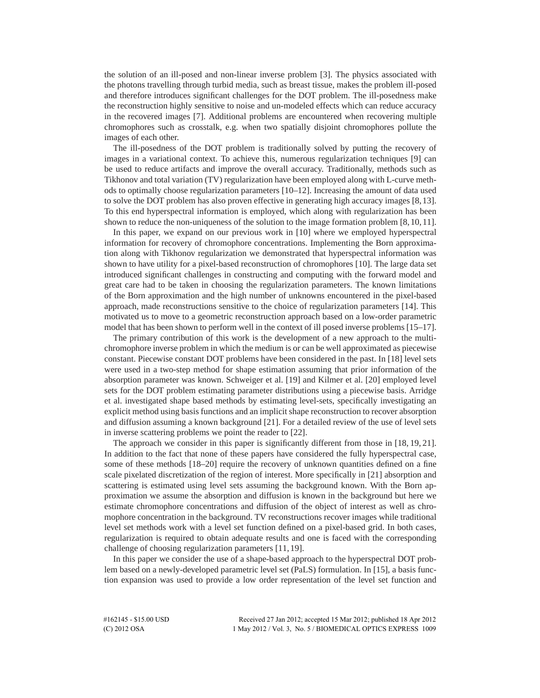the solution of an ill-posed and non-linear inverse problem [3]. The physics associated with the photons travelling through turbid media, such as breast tissue, makes the problem ill-posed and therefore introduces significant challenges for the DOT problem. The ill-posedness make the reconstruction highly sensitive to noise and un-modeled effects which can reduce accuracy in the recovered images [7]. Additional problems are encountered when recovering multiple chromophores such as crosstalk, e.g. when two spatially disjoint chromophores pollute the images of each other.

The ill-posedness of the DOT problem is traditionally solved by putting the recovery of images in a variational context. To achieve this, numerous regularization techniques [9] can be used to reduce artifacts and improve the overall accuracy. Traditionally, methods such as Tikhonov and total variation (TV) regularization have been employed along with L-curve methods to optimally choose regularization parameters [10–12]. Increasing the amount of data used to solve the DOT problem has also proven effective in generating high accuracy images [8,13]. To this end hyperspectral information is employed, which along with regularization has been shown to reduce the non-uniqueness of the solution to the image formation problem [8,10,11].

In this paper, we expand on our previous work in [10] where we employed hyperspectral information for recovery of chromophore concentrations. Implementing the Born approximation along with Tikhonov regularization we demonstrated that hyperspectral information was shown to have utility for a pixel-based reconstruction of chromophores [10]. The large data set introduced significant challenges in constructing and computing with the forward model and great care had to be taken in choosing the regularization parameters. The known limitations of the Born approximation and the high number of unknowns encountered in the pixel-based approach, made reconstructions sensitive to the choice of regularization parameters [14]. This motivated us to move to a geometric reconstruction approach based on a low-order parametric model that has been shown to perform well in the context of ill posed inverse problems [15–17].

The primary contribution of this work is the development of a new approach to the multichromophore inverse problem in which the medium is or can be well approximated as piecewise constant. Piecewise constant DOT problems have been considered in the past. In [18] level sets were used in a two-step method for shape estimation assuming that prior information of the absorption parameter was known. Schweiger et al. [19] and Kilmer et al. [20] employed level sets for the DOT problem estimating parameter distributions using a piecewise basis. Arridge et al. investigated shape based methods by estimating level-sets, specifically investigating an explicit method using basis functions and an implicit shape reconstruction to recover absorption and diffusion assuming a known background [21]. For a detailed review of the use of level sets in inverse scattering problems we point the reader to [22].

The approach we consider in this paper is significantly different from those in [18, 19, 21]. In addition to the fact that none of these papers have considered the fully hyperspectral case, some of these methods [18–20] require the recovery of unknown quantities defined on a fine scale pixelated discretization of the region of interest. More specifically in [21] absorption and scattering is estimated using level sets assuming the background known. With the Born approximation we assume the absorption and diffusion is known in the background but here we estimate chromophore concentrations and diffusion of the object of interest as well as chromophore concentration in the background. TV reconstructions recover images while traditional level set methods work with a level set function defined on a pixel-based grid. In both cases, regularization is required to obtain adequate results and one is faced with the corresponding challenge of choosing regularization parameters [11, 19].

In this paper we consider the use of a shape-based approach to the hyperspectral DOT problem based on a newly-developed parametric level set (PaLS) formulation. In [15], a basis function expansion was used to provide a low order representation of the level set function and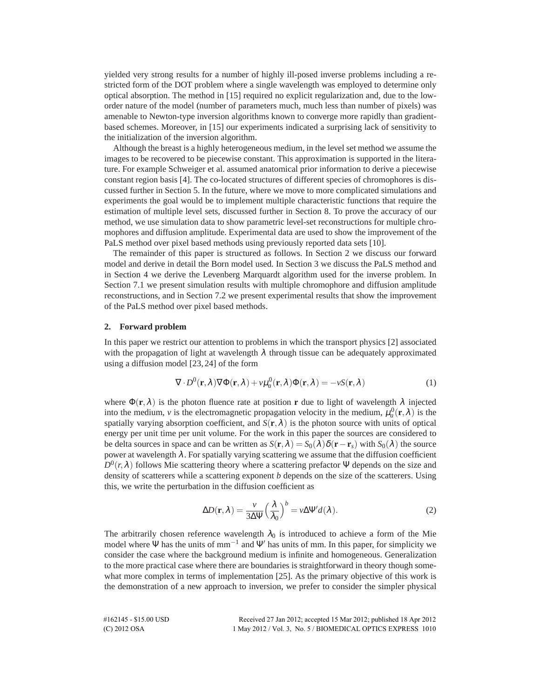yielded very strong results for a number of highly ill-posed inverse problems including a restricted form of the DOT problem where a single wavelength was employed to determine only optical absorption. The method in [15] required no explicit regularization and, due to the loworder nature of the model (number of parameters much, much less than number of pixels) was amenable to Newton-type inversion algorithms known to converge more rapidly than gradientbased schemes. Moreover, in [15] our experiments indicated a surprising lack of sensitivity to the initialization of the inversion algorithm.

Although the breast is a highly heterogeneous medium, in the level set method we assume the images to be recovered to be piecewise constant. This approximation is supported in the literature. For example Schweiger et al. assumed anatomical prior information to derive a piecewise constant region basis [4]. The co-located structures of different species of chromophores is discussed further in Section 5. In the future, where we move to more complicated simulations and experiments the goal would be to implement multiple characteristic functions that require the estimation of multiple level sets, discussed further in Section 8. To prove the accuracy of our method, we use simulation data to show parametric level-set reconstructions for multiple chromophores and diffusion amplitude. Experimental data are used to show the improvement of the PaLS method over pixel based methods using previously reported data sets [10].

The remainder of this paper is structured as follows. In Section 2 we discuss our forward model and derive in detail the Born model used. In Section 3 we discuss the PaLS method and in Section 4 we derive the Levenberg Marquardt algorithm used for the inverse problem. In Section 7.1 we present simulation results with multiple chromophore and diffusion amplitude reconstructions, and in Section 7.2 we present experimental results that show the improvement of the PaLS method over pixel based methods.

# **2. Forward problem**

In this paper we restrict our attention to problems in which the transport physics [2] associated with the propagation of light at wavelength  $\lambda$  through tissue can be adequately approximated using a diffusion model [23, 24] of the form

$$
\nabla \cdot D^{0}(\mathbf{r}, \lambda) \nabla \Phi(\mathbf{r}, \lambda) + \nu \mu_{a}^{0}(\mathbf{r}, \lambda) \Phi(\mathbf{r}, \lambda) = -\nu S(\mathbf{r}, \lambda)
$$
 (1)

where  $\Phi(\mathbf{r},\lambda)$  is the photon fluence rate at position **r** due to light of wavelength  $\lambda$  injected into the medium, *v* is the electromagnetic propagation velocity in the medium,  $\mu_a^0(\mathbf{r}, \lambda)$  is the spatially varying absorption coefficient, and  $S(\mathbf{r},\lambda)$  is the photon source with units of optical energy per unit time per unit volume. For the work in this paper the sources are considered to be delta sources in space and can be written as  $S(\mathbf{r},\lambda) = S_0(\lambda)\delta(\mathbf{r}-\mathbf{r}_s)$  with  $S_0(\lambda)$  the source power at wavelength  $\lambda$ . For spatially varying scattering we assume that the diffusion coefficient  $D^0(r, \lambda)$  follows Mie scattering theory where a scattering prefactor Ψ depends on the size and density of scatterers while a scattering exponent *b* depends on the size of the scatterers. Using this, we write the perturbation in the diffusion coefficient as

$$
\Delta D(\mathbf{r}, \lambda) = \frac{v}{3\Delta \Psi} \left(\frac{\lambda}{\lambda_0}\right)^b = v \Delta \Psi' d(\lambda).
$$
 (2)

The arbitrarily chosen reference wavelength  $\lambda_0$  is introduced to achieve a form of the Mie model where Ψ has the units of mm<sup>-1</sup> and Ψ' has units of mm. In this paper, for simplicity we consider the case where the background medium is infinite and homogeneous. Generalization to the more practical case where there are boundaries is straightforward in theory though somewhat more complex in terms of implementation [25]. As the primary objective of this work is the demonstration of a new approach to inversion, we prefer to consider the simpler physical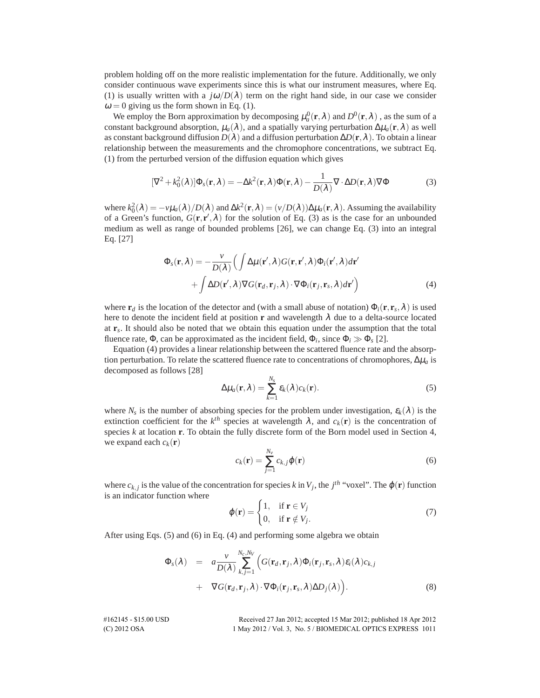problem holding off on the more realistic implementation for the future. Additionally, we only consider continuous wave experiments since this is what our instrument measures, where Eq. (1) is usually written with a  $j\omega/D(\lambda)$  term on the right hand side, in our case we consider  $\omega = 0$  giving us the form shown in Eq. (1).

We employ the Born approximation by decomposing  $\mu_a^0(\mathbf{r},\lambda)$  and  $D^0(\mathbf{r},\lambda)$  , as the sum of a constant background absorption,  $\mu_a(\lambda)$ , and a spatially varying perturbation  $\Delta\mu_a(\mathbf{r},\lambda)$  as well as constant background diffusion  $D(\lambda)$  and a diffusion perturbation  $\Delta D(\mathbf{r},\lambda)$ . To obtain a linear relationship between the measurements and the chromophore concentrations, we subtract Eq. (1) from the perturbed version of the diffusion equation which gives

$$
[\nabla^2 + k_0^2(\lambda)]\Phi_s(\mathbf{r}, \lambda) = -\Delta k^2(\mathbf{r}, \lambda)\Phi(\mathbf{r}, \lambda) - \frac{1}{D(\lambda)}\nabla \cdot \Delta D(\mathbf{r}, \lambda)\nabla \Phi
$$
 (3)

where  $k_0^2(\lambda) = -\nu\mu_a(\lambda)/D(\lambda)$  and  $\Delta k^2(\mathbf{r}, \lambda) = (\nu/D(\lambda))\Delta\mu_a(\mathbf{r}, \lambda)$ . Assuming the availability of a Green's function,  $G(\mathbf{r}, \mathbf{r}', \lambda)$  for the solution of Eq. (3) as is the case for an unbounded medium as well as range of bounded problems [26], we can change Eq. (3) into an integral Eq. [27]

$$
\Phi_s(\mathbf{r}, \lambda) = -\frac{\nu}{D(\lambda)} \Big( \int \Delta \mu(\mathbf{r}', \lambda) G(\mathbf{r}, \mathbf{r}', \lambda) \Phi_i(\mathbf{r}', \lambda) d\mathbf{r}' + \int \Delta D(\mathbf{r}', \lambda) \nabla G(\mathbf{r}_d, \mathbf{r}_j, \lambda) \cdot \nabla \Phi_i(\mathbf{r}_j, \mathbf{r}_s, \lambda) d\mathbf{r}' \Big)
$$
(4)

where  $\mathbf{r}_d$  is the location of the detector and (with a small abuse of notation)  $\Phi_i(\mathbf{r},\mathbf{r}_s,\lambda)$  is used here to denote the incident field at position **r** and wavelength  $\lambda$  due to a delta-source located at **r***<sup>s</sup>* . It should also be noted that we obtain this equation under the assumption that the total fluence rate,  $\Phi$ , can be approximated as the incident field,  $\Phi_i$ , since  $\Phi_i \gg \Phi_s$  [2].

Equation (4) provides a linear relationship between the scattered fluence rate and the absorption perturbation. To relate the scattered fluence rate to concentrations of chromophores,  $\Delta \mu_a$  is decomposed as follows [28]

$$
\Delta \mu_a(\mathbf{r}, \lambda) = \sum_{k=1}^{N_s} \varepsilon_k(\lambda) c_k(\mathbf{r}).
$$
\n(5)

where  $N_s$  is the number of absorbing species for the problem under investigation,  $\varepsilon_k(\lambda)$  is the extinction coefficient for the  $k^{th}$  species at wavelength  $\lambda$ , and  $c_k(\mathbf{r})$  is the concentration of species *k* at location **r**. To obtain the fully discrete form of the Born model used in Section 4, we expand each  $c_k(\mathbf{r})$ 

$$
c_k(\mathbf{r}) = \sum_{j=1}^{N_\nu} c_{k,j} \varphi(\mathbf{r})
$$
\n(6)

where  $c_{k,j}$  is the value of the concentration for species *k* in  $V_j$ , the  $j^{th}$  "voxel". The  $\varphi(\mathbf{r})$  function is an indicator function where

$$
\varphi(\mathbf{r}) = \begin{cases} 1, & \text{if } \mathbf{r} \in V_j \\ 0, & \text{if } \mathbf{r} \notin V_j. \end{cases}
$$
\n(7)

After using Eqs. (5) and (6) in Eq. (4) and performing some algebra we obtain

$$
\Phi_{s}(\lambda) = a \frac{\nu}{D(\lambda)} \sum_{k,j=1}^{N_c, N_V} \Big( G(\mathbf{r}_d, \mathbf{r}_j, \lambda) \Phi_i(\mathbf{r}_j, \mathbf{r}_s, \lambda) \varepsilon_i(\lambda) c_{k,j} \n+ \nabla G(\mathbf{r}_d, \mathbf{r}_j, \lambda) \cdot \nabla \Phi_i(\mathbf{r}_j, \mathbf{r}_s, \lambda) \Delta D_j(\lambda) \Big).
$$
\n(8)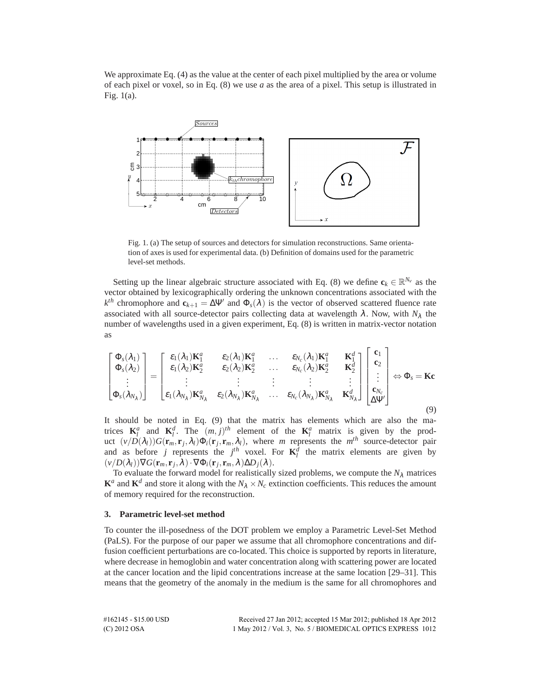We approximate Eq. (4) as the value at the center of each pixel multiplied by the area or volume of each pixel or voxel, so in Eq. (8) we use *a* as the area of a pixel. This setup is illustrated in Fig. 1(a).



Fig. 1. (a) The setup of sources and detectors for simulation reconstructions. Same orientation of axes is used for experimental data. (b) Definition of domains used for the parametric level-set methods.

Setting up the linear algebraic structure associated with Eq. (8) we define  $\mathbf{c}_k \in \mathbb{R}^{N_v}$  as the vector obtained by lexicographically ordering the unknown concentrations associated with the  $k^{th}$  chromophore and  $\mathbf{c}_{k+1} = \Delta \Psi'$  and  $\Phi_s(\lambda)$  is the vector of observed scattered fluence rate associated with all source-detector pairs collecting data at wavelength  $\lambda$ . Now, with  $N_{\lambda}$  the number of wavelengths used in a given experiment, Eq. (8) is written in matrix-vector notation as

$$
\begin{bmatrix}\n\Phi_s(\lambda_1) \\
\Phi_s(\lambda_2) \\
\vdots \\
\Phi_s(\lambda_{N_\lambda})\n\end{bmatrix} = \begin{bmatrix}\n\varepsilon_1(\lambda_1)\mathbf{K}_1^a & \varepsilon_2(\lambda_1)\mathbf{K}_1^a & \cdots & \varepsilon_{N_c}(\lambda_1)\mathbf{K}_1^a & \mathbf{K}_1^d \\
\varepsilon_1(\lambda_2)\mathbf{K}_2^a & \varepsilon_2(\lambda_2)\mathbf{K}_2^a & \cdots & \varepsilon_{N_c}(\lambda_2)\mathbf{K}_2^a & \mathbf{K}_2^d \\
\vdots & \vdots & \vdots & \vdots & \vdots \\
\varepsilon_1(\lambda_{N_\lambda})\mathbf{K}_{N_\lambda}^a & \varepsilon_2(\lambda_{N_\lambda})\mathbf{K}_{N_\lambda}^a & \cdots & \varepsilon_{N_c}(\lambda_{N_\lambda})\mathbf{K}_{N_\lambda}^a & \mathbf{K}_{N_\lambda}^d\n\end{bmatrix} \begin{bmatrix}\n\mathbf{c}_1 \\
\mathbf{c}_2 \\
\vdots \\
\mathbf{c}_{N_c}\n\end{bmatrix} \Leftrightarrow \Phi_s = \mathbf{K}\mathbf{c}
$$

It should be noted in Eq. (9) that the matrix has elements which are also the matrices  $\mathbf{K}_l^a$  and  $\mathbf{K}_l^d$ . The  $(m, j)^{th}$  element of the  $\mathbf{K}_l^a$  matrix is given by the product  $(v/D(\lambda_l))G(\mathbf{r}_m, \mathbf{r}_j, \lambda_l)\Phi_i(\mathbf{r}_j, \mathbf{r}_m, \lambda_l)$ , where *m* represents the *m*<sup>th</sup> source-detector pair and as before *j* represents the *j*<sup>th</sup> voxel. For  $\mathbf{K}^d_l$  the matrix elements are given by  $(v/D(\lambda_i))\nabla G(\mathbf{r}_m, \mathbf{r}_j, \lambda) \cdot \nabla \Phi_i(\mathbf{r}_j, \mathbf{r}_m, \lambda) \Delta D_j(\lambda).$ 

To evaluate the forward model for realistically sized problems, we compute the  $N<sub>\lambda</sub>$  matrices  $\mathbf{K}^a$  and  $\mathbf{K}^d$  and store it along with the  $N_\lambda \times N_c$  extinction coefficients. This reduces the amount of memory required for the reconstruction.

# **3. Parametric level-set method**

To counter the ill-posedness of the DOT problem we employ a Parametric Level-Set Method (PaLS). For the purpose of our paper we assume that all chromophore concentrations and diffusion coefficient perturbations are co-located. This choice is supported by reports in literature, where decrease in hemoglobin and water concentration along with scattering power are located at the cancer location and the lipid concentrations increase at the same location [29–31]. This means that the geometry of the anomaly in the medium is the same for all chromophores and

| #162145 - \$15.00 USD - | Received 27 Jan 2012; accepted 15 Mar 2012; published 18 Apr 2012 |
|-------------------------|-------------------------------------------------------------------|
| (C) 2012 OSA            | 1 May 2012 / Vol. 3, No. 5 / BIOMEDICAL OPTICS EXPRESS 1012       |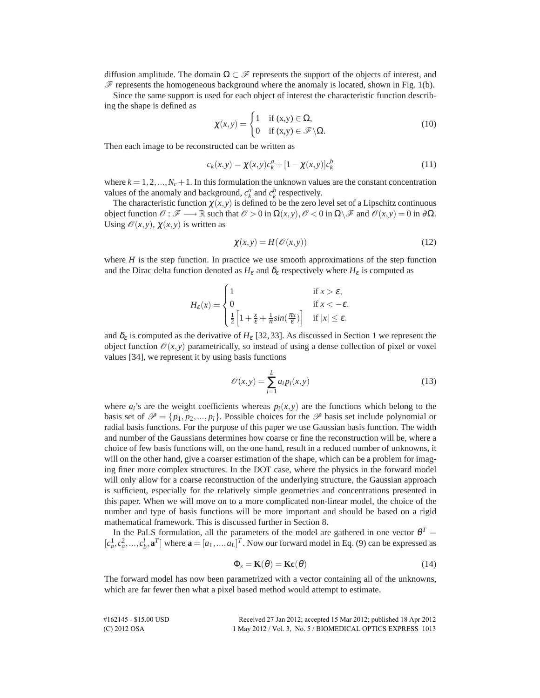diffusion amplitude. The domain  $\Omega \subset \mathscr{F}$  represents the support of the objects of interest, and  $\mathscr F$  represents the homogeneous background where the anomaly is located, shown in Fig. 1(b).

Since the same support is used for each object of interest the characteristic function describing the shape is defined as

$$
\chi(x, y) = \begin{cases} 1 & \text{if } (x, y) \in \Omega, \\ 0 & \text{if } (x, y) \in \mathcal{F} \backslash \Omega. \end{cases}
$$
 (10)

Then each image to be reconstructed can be written as

$$
c_k(x, y) = \chi(x, y)c_k^a + [1 - \chi(x, y)]c_k^b
$$
\n(11)

where  $k = 1, 2, ..., N_c + 1$ . In this formulation the unknown values are the constant concentration values of the anomaly and background,  $c_k^a$  and  $c_k^b$  respectively.

The characteristic function  $\chi(x, y)$  is defined to be the zero level set of a Lipschitz continuous object function  $\mathcal{O} : \mathcal{F} \longrightarrow \mathbb{R}$  such that  $\mathcal{O} > 0$  in  $\Omega(x, y), \mathcal{O} < 0$  in  $\Omega \setminus \mathcal{F}$  and  $\mathcal{O}(x, y) = 0$  in  $\partial \Omega$ . Using  $\mathcal{O}(x, y)$ ,  $\chi(x, y)$  is written as

$$
\chi(x, y) = H(\mathcal{O}(x, y))\tag{12}
$$

where  $H$  is the step function. In practice we use smooth approximations of the step function and the Dirac delta function denoted as  $H_{\varepsilon}$  and  $\delta_{\varepsilon}$  respectively where  $H_{\varepsilon}$  is computed as

$$
H_{\varepsilon}(x) = \begin{cases} 1 & \text{if } x > \varepsilon, \\ 0 & \text{if } x < -\varepsilon. \\ \frac{1}{2} \Big[ 1 + \frac{x}{\varepsilon} + \frac{1}{\pi} sin(\frac{\pi x}{\varepsilon}) \Big] & \text{if } |x| \le \varepsilon. \end{cases}
$$

and  $\delta_{\varepsilon}$  is computed as the derivative of  $H_{\varepsilon}$  [32, 33]. As discussed in Section 1 we represent the object function  $\mathcal{O}(x, y)$  parametrically, so instead of using a dense collection of pixel or voxel values [34], we represent it by using basis functions

$$
\mathcal{O}(x, y) = \sum_{i=1}^{L} a_i p_i(x, y)
$$
\n(13)

where  $a_i$ 's are the weight coefficients whereas  $p_i(x, y)$  are the functions which belong to the basis set of  $\mathcal{P} = \{p_1, p_2, ..., p_l\}$ . Possible choices for the  $\mathcal{P}$  basis set include polynomial or radial basis functions. For the purpose of this paper we use Gaussian basis function. The width and number of the Gaussians determines how coarse or fine the reconstruction will be, where a choice of few basis functions will, on the one hand, result in a reduced number of unknowns, it will on the other hand, give a coarser estimation of the shape, which can be a problem for imaging finer more complex structures. In the DOT case, where the physics in the forward model will only allow for a coarse reconstruction of the underlying structure, the Gaussian approach is sufficient, especially for the relatively simple geometries and concentrations presented in this paper. When we will move on to a more complicated non-linear model, the choice of the number and type of basis functions will be more important and should be based on a rigid mathematical framework. This is discussed further in Section 8.

In the PaLS formulation, all the parameters of the model are gathered in one vector  $\theta^T =$  $[c_a^1, c_a^2, \ldots, c_b^l, \mathbf{a}^T]$  where  $\mathbf{a} = [a_1, \ldots, a_L]^T$ . Now our forward model in Eq. (9) can be expressed as

$$
\Phi_s = \mathbf{K}(\theta) = \mathbf{Kc}(\theta) \tag{14}
$$

The forward model has now been parametrized with a vector containing all of the unknowns, which are far fewer then what a pixel based method would attempt to estimate.

| #162145 - \$15.00 USD | Received 27 Jan 2012; accepted 15 Mar 2012; published 18 Apr 2012 |
|-----------------------|-------------------------------------------------------------------|
| $(C)$ 2012 OSA        | 1 May 2012 / Vol. 3, No. 5 / BIOMEDICAL OPTICS EXPRESS 1013       |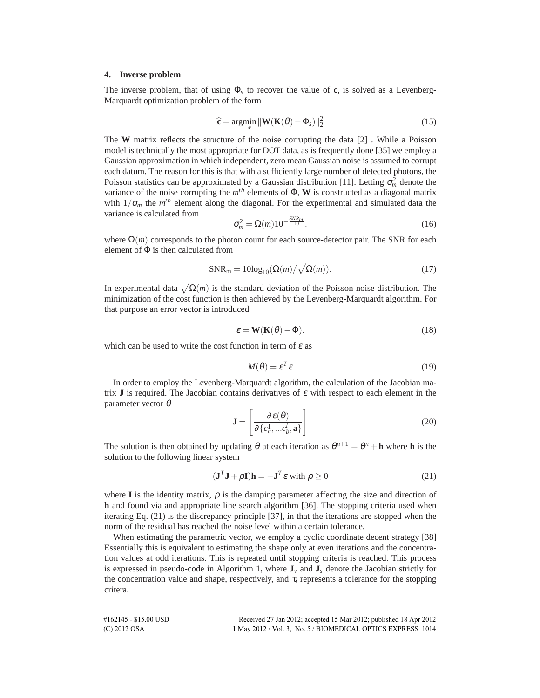#### **4. Inverse problem**

The inverse problem, that of using Φ*<sup>s</sup>* to recover the value of **c**, is solved as a Levenberg-Marquardt optimization problem of the form

$$
\hat{\mathbf{c}} = \underset{\mathbf{c}}{\text{argmin}} \|\mathbf{W}(\mathbf{K}(\theta) - \Phi_s)\|_2^2 \tag{15}
$$

The **W** matrix reflects the structure of the noise corrupting the data [2] . While a Poisson model is technically the most appropriate for DOT data, as is frequently done [35] we employ a Gaussian approximation in which independent, zero mean Gaussian noise is assumed to corrupt each datum. The reason for this is that with a sufficiently large number of detected photons, the Poisson statistics can be approximated by a Gaussian distribution [11]. Letting  $\sigma_m^2$  denote the variance of the noise corrupting the *m th* elements of Φ, **W** is constructed as a diagonal matrix with  $1/\sigma_m$  the  $m<sup>th</sup>$  element along the diagonal. For the experimental and simulated data the variance is calculated from

$$
\sigma_m^2 = \Omega(m) 10^{-\frac{SNR_m}{10}}.
$$
\n(16)

where  $\Omega(m)$  corresponds to the photon count for each source-detector pair. The SNR for each element of  $\Phi$  is then calculated from

$$
SNR_m = 10\log_{10}(\Omega(m)/\sqrt{\Omega(m)}).
$$
 (17)

In experimental data  $\sqrt{\Omega(m)}$  is the standard deviation of the Poisson noise distribution. The minimization of the cost function is then achieved by the Levenberg-Marquardt algorithm. For that purpose an error vector is introduced

$$
\varepsilon = \mathbf{W}(\mathbf{K}(\theta) - \Phi). \tag{18}
$$

which can be used to write the cost function in term of  $\varepsilon$  as

$$
M(\theta) = \varepsilon^T \varepsilon \tag{19}
$$

In order to employ the Levenberg-Marquardt algorithm, the calculation of the Jacobian matrix **J** is required. The Jacobian contains derivatives of  $\varepsilon$  with respect to each element in the parameter vector  $\theta$ 

$$
\mathbf{J} = \left[ \frac{\partial \boldsymbol{\varepsilon}(\boldsymbol{\theta})}{\partial \{c_a^1, \dots c_b^l, \mathbf{a}\}} \right] \tag{20}
$$

The solution is then obtained by updating  $\theta$  at each iteration as  $\theta^{n+1} = \theta^n + \mathbf{h}$  where  $\mathbf{h}$  is the solution to the following linear system

$$
(\mathbf{J}^T \mathbf{J} + \rho \mathbf{I})\mathbf{h} = -\mathbf{J}^T \varepsilon \text{ with } \rho \ge 0
$$
 (21)

where **I** is the identity matrix,  $\rho$  is the damping parameter affecting the size and direction of **h** and found via and appropriate line search algorithm [36]. The stopping criteria used when iterating Eq. (21) is the discrepancy principle [37], in that the iterations are stopped when the norm of the residual has reached the noise level within a certain tolerance.

When estimating the parametric vector, we employ a cyclic coordinate decent strategy [38] Essentially this is equivalent to estimating the shape only at even iterations and the concentration values at odd iterations. This is repeated until stopping criteria is reached. This process is expressed in pseudo-code in Algorithm 1, where  $J_v$  and  $J_s$  denote the Jacobian strictly for the concentration value and shape, respectively, and  $\tau_i$  represents a tolerance for the stopping critera.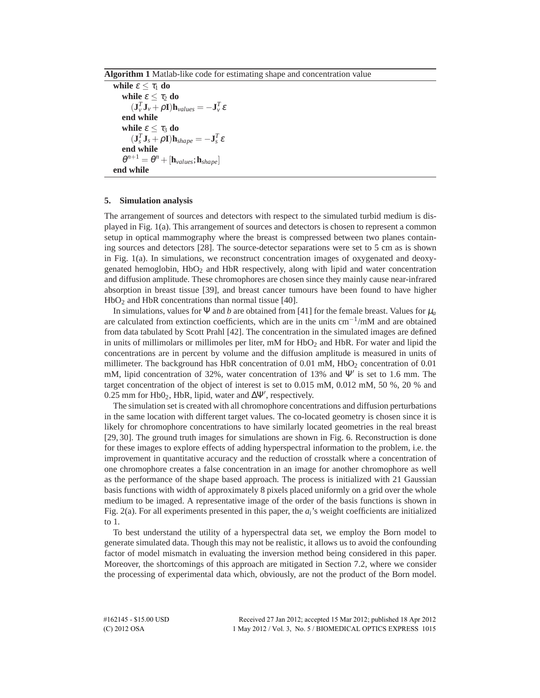**Algorithm 1** Matlab-like code for estimating shape and concentration value

```
while \varepsilon < \tau_1 do
      while \varepsilon \leq \tau_2 do
             (\mathbf{J}_{\nu}^T \mathbf{J}_{\nu} + \rho \mathbf{I}) \mathbf{h}_{values} = -\mathbf{J}_{\nu}^T \boldsymbol{\varepsilon}end while
      while \varepsilon < \tau_3 do
             (\mathbf{J}_s^T \mathbf{J}_s + \rho \mathbf{I}) \mathbf{h}_{shape} = -\mathbf{J}_s^T \mathbf{\varepsilon}end while
       \theta^{n+1} = \theta^n + [\mathbf{h}_{values}; \mathbf{h}_{shape}]end while
```
# **5. Simulation analysis**

The arrangement of sources and detectors with respect to the simulated turbid medium is displayed in Fig. 1(a). This arrangement of sources and detectors is chosen to represent a common setup in optical mammography where the breast is compressed between two planes containing sources and detectors [28]. The source-detector separations were set to 5 cm as is shown in Fig. 1(a). In simulations, we reconstruct concentration images of oxygenated and deoxygenated hemoglobin, HbO<sub>2</sub> and HbR respectively, along with lipid and water concentration and diffusion amplitude. These chromophores are chosen since they mainly cause near-infrared absorption in breast tissue [39], and breast cancer tumours have been found to have higher  $HbO<sub>2</sub>$  and HbR concentrations than normal tissue [40].

In simulations, values for  $\Psi$  and *b* are obtained from [41] for the female breast. Values for  $\mu_a$ are calculated from extinction coefficients, which are in the units cm−<sup>1</sup> /mM and are obtained from data tabulated by Scott Prahl [42]. The concentration in the simulated images are defined in units of millimolars or millimoles per liter,  $mM$  for HbO<sub>2</sub> and HbR. For water and lipid the concentrations are in percent by volume and the diffusion amplitude is measured in units of millimeter. The background has HbR concentration of  $0.01$  mM,  $HbO<sub>2</sub>$  concentration of  $0.01$ mM, lipid concentration of 32%, water concentration of 13% and Ψ′ is set to 1.6 mm. The target concentration of the object of interest is set to 0.015 mM, 0.012 mM, 50 %, 20 % and 0.25 mm for Hb02, HbR, lipid, water and  $\Delta\Psi'$ , respectively.

The simulation set is created with all chromophore concentrations and diffusion perturbations in the same location with different target values. The co-located geometry is chosen since it is likely for chromophore concentrations to have similarly located geometries in the real breast [29, 30]. The ground truth images for simulations are shown in Fig. 6. Reconstruction is done for these images to explore effects of adding hyperspectral information to the problem, i.e. the improvement in quantitative accuracy and the reduction of crosstalk where a concentration of one chromophore creates a false concentration in an image for another chromophore as well as the performance of the shape based approach. The process is initialized with 21 Gaussian basis functions with width of approximately 8 pixels placed uniformly on a grid over the whole medium to be imaged. A representative image of the order of the basis functions is shown in Fig. 2(a). For all experiments presented in this paper, the *ai*'s weight coefficients are initialized to 1.

To best understand the utility of a hyperspectral data set, we employ the Born model to generate simulated data. Though this may not be realistic, it allows us to avoid the confounding factor of model mismatch in evaluating the inversion method being considered in this paper. Moreover, the shortcomings of this approach are mitigated in Section 7.2, where we consider the processing of experimental data which, obviously, are not the product of the Born model.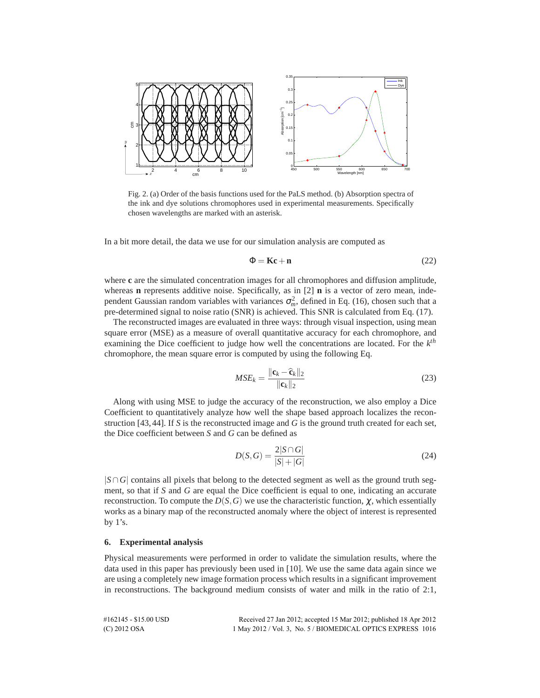

Fig. 2. (a) Order of the basis functions used for the PaLS method. (b) Absorption spectra of the ink and dye solutions chromophores used in experimental measurements. Specifically chosen wavelengths are marked with an asterisk.

In a bit more detail, the data we use for our simulation analysis are computed as

$$
\Phi = Kc + n \tag{22}
$$

where **c** are the simulated concentration images for all chromophores and diffusion amplitude, whereas **n** represents additive noise. Specifically, as in [2] **n** is a vector of zero mean, independent Gaussian random variables with variances  $\sigma_m^2$ , defined in Eq. (16), chosen such that a pre-determined signal to noise ratio (SNR) is achieved. This SNR is calculated from Eq. (17).

The reconstructed images are evaluated in three ways: through visual inspection, using mean square error (MSE) as a measure of overall quantitative accuracy for each chromophore, and examining the Dice coefficient to judge how well the concentrations are located. For the *k th* chromophore, the mean square error is computed by using the following Eq.

$$
MSE_k = \frac{\|\mathbf{c}_k - \widehat{\mathbf{c}}_k\|_2}{\|\mathbf{c}_k\|_2}
$$
(23)

Along with using MSE to judge the accuracy of the reconstruction, we also employ a Dice Coefficient to quantitatively analyze how well the shape based approach localizes the reconstruction [43,44]. If *S* is the reconstructed image and *G* is the ground truth created for each set, the Dice coefficient between *S* and *G* can be defined as

$$
D(S, G) = \frac{2|S \cap G|}{|S| + |G|}
$$
 (24)

|*S*∩ *G*| contains all pixels that belong to the detected segment as well as the ground truth segment, so that if *S* and *G* are equal the Dice coefficient is equal to one, indicating an accurate reconstruction. To compute the  $D(S, G)$  we use the characteristic function,  $\chi$ , which essentially works as a binary map of the reconstructed anomaly where the object of interest is represented by 1's.

# **6. Experimental analysis**

Physical measurements were performed in order to validate the simulation results, where the data used in this paper has previously been used in [10]. We use the same data again since we are using a completely new image formation process which results in a significant improvement in reconstructions. The background medium consists of water and milk in the ratio of 2:1,

| #162145 - \$15.00 USD | Received 27 Jan 2012; accepted 15 Mar 2012; published 18 Apr 2012 |
|-----------------------|-------------------------------------------------------------------|
| $(C)$ 2012 OSA        | 1 May 2012 / Vol. 3, No. 5 / BIOMEDICAL OPTICS EXPRESS 1016       |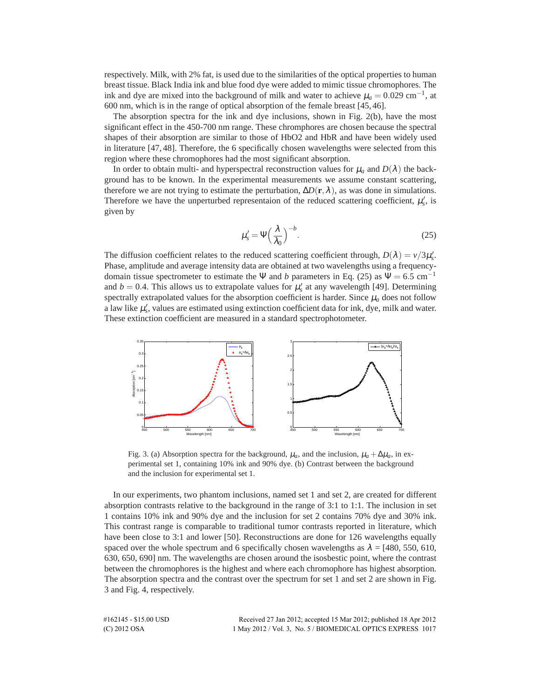respectively. Milk, with 2% fat, is used due to the similarities of the optical properties to human breast tissue. Black India ink and blue food dye were added to mimic tissue chromophores. The ink and dye are mixed into the background of milk and water to achieve  $\mu_a = 0.029 \text{ cm}^{-1}$ , at 600 nm, which is in the range of optical absorption of the female breast [45, 46].

The absorption spectra for the ink and dye inclusions, shown in Fig. 2(b), have the most significant effect in the 450-700 nm range. These chromphores are chosen because the spectral shapes of their absorption are similar to those of HbO2 and HbR and have been widely used in literature [47, 48]. Therefore, the 6 specifically chosen wavelengths were selected from this region where these chromophores had the most significant absorption.

In order to obtain multi- and hyperspectral reconstruction values for  $\mu_a$  and  $D(\lambda)$  the background has to be known. In the experimental measurements we assume constant scattering, therefore we are not trying to estimate the perturbation,  $\Delta D(\mathbf{r}, \lambda)$ , as was done in simulations. Therefore we have the unperturbed representaion of the reduced scattering coefficient,  $\mu_s'$ , is given by

$$
\mu_s' = \Psi \left(\frac{\lambda}{\lambda_0}\right)^{-b}.\tag{25}
$$

The diffusion coefficient relates to the reduced scattering coefficient through,  $D(\lambda) = \nu/3\mu_s'$ . Phase, amplitude and average intensity data are obtained at two wavelengths using a frequencydomain tissue spectrometer to estimate the Ψ and *b* parameters in Eq. (25) as  $\Psi = 6.5$  cm<sup>-1</sup> and  $b = 0.4$ . This allows us to extrapolate values for  $\mu_s'$  at any wavelength [49]. Determining spectrally extrapolated values for the absorption coefficient is harder. Since  $\mu_a$  does not follow a law like  $\mu'_s$ , values are estimated using extinction coefficient data for ink, dye, milk and water. These extinction coefficient are measured in a standard spectrophotometer.



Fig. 3. (a) Absorption spectra for the background,  $\mu_a$ , and the inclusion,  $\mu_a + \Delta \mu_a$ , in experimental set 1, containing 10% ink and 90% dye. (b) Contrast between the background and the inclusion for experimental set 1.

In our experiments, two phantom inclusions, named set 1 and set 2, are created for different absorption contrasts relative to the background in the range of 3:1 to 1:1. The inclusion in set 1 contains 10% ink and 90% dye and the inclusion for set 2 contains 70% dye and 30% ink. This contrast range is comparable to traditional tumor contrasts reported in literature, which have been close to 3:1 and lower [50]. Reconstructions are done for 126 wavelengths equally spaced over the whole spectrum and 6 specifically chosen wavelengths as  $\lambda = [480, 550, 610,$ 630, 650, 690] nm. The wavelengths are chosen around the isosbestic point, where the contrast between the chromophores is the highest and where each chromophore has highest absorption. The absorption spectra and the contrast over the spectrum for set 1 and set 2 are shown in Fig. 3 and Fig. 4, respectively.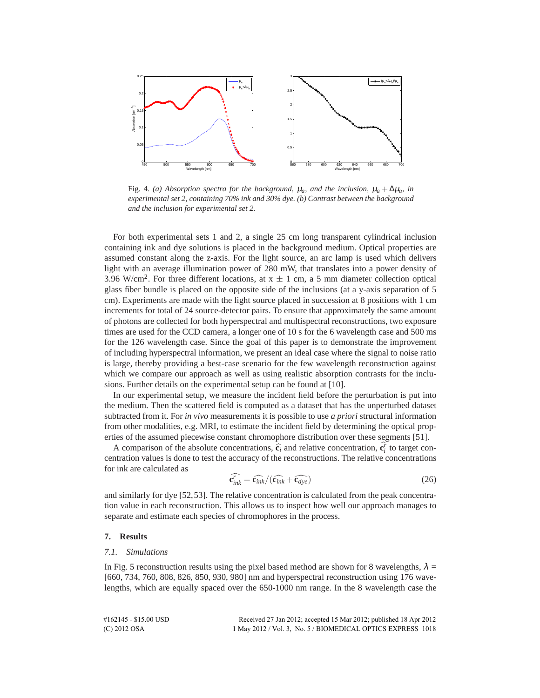

Fig. 4. *(a) Absorption spectra for the background,*  $\mu_a$ *, and the inclusion,*  $\mu_a + \Delta \mu_a$ *, in experimental set 2, containing 70% ink and 30% dye. (b) Contrast between the background and the inclusion for experimental set 2.*

For both experimental sets 1 and 2, a single 25 cm long transparent cylindrical inclusion containing ink and dye solutions is placed in the background medium. Optical properties are assumed constant along the z-axis. For the light source, an arc lamp is used which delivers light with an average illumination power of 280 mW, that translates into a power density of 3.96 W/cm<sup>2</sup>. For three different locations, at  $x \pm 1$  cm, a 5 mm diameter collection optical glass fiber bundle is placed on the opposite side of the inclusions (at a y-axis separation of 5 cm). Experiments are made with the light source placed in succession at 8 positions with 1 cm increments for total of 24 source-detector pairs. To ensure that approximately the same amount of photons are collected for both hyperspectral and multispectral reconstructions, two exposure times are used for the CCD camera, a longer one of 10 s for the 6 wavelength case and 500 ms for the 126 wavelength case. Since the goal of this paper is to demonstrate the improvement of including hyperspectral information, we present an ideal case where the signal to noise ratio is large, thereby providing a best-case scenario for the few wavelength reconstruction against which we compare our approach as well as using realistic absorption contrasts for the inclusions. Further details on the experimental setup can be found at [10].

In our experimental setup, we measure the incident field before the perturbation is put into the medium. Then the scattered field is computed as a dataset that has the unperturbed dataset subtracted from it. For *in vivo* measurements it is possible to use *a priori* structural information from other modalities, e.g. MRI, to estimate the incident field by determining the optical properties of the assumed piecewise constant chromophore distribution over these segments [51].

A comparison of the absolute concentrations,  $\hat{\mathbf{c}}_i$  and relative concentration,  $\hat{\mathbf{c}}_i^r$  to target concentration values is done to test the accuracy of the reconstructions. The relative concentrations for ink are calculated as

$$
\widehat{\mathbf{c}_{ink}^r} = \widehat{\mathbf{c}_{ink}} / (\widehat{\mathbf{c}_{ink}} + \widehat{\mathbf{c}_{dye}})
$$
\n(26)

and similarly for dye [52,53]. The relative concentration is calculated from the peak concentration value in each reconstruction. This allows us to inspect how well our approach manages to separate and estimate each species of chromophores in the process.

# **7. Results**

# *7.1. Simulations*

In Fig. 5 reconstruction results using the pixel based method are shown for 8 wavelengths,  $\lambda =$ [660, 734, 760, 808, 826, 850, 930, 980] nm and hyperspectral reconstruction using 176 wavelengths, which are equally spaced over the 650-1000 nm range. In the 8 wavelength case the

| #162145 - \$15.00 USD | Received 27 Jan 2012; accepted 15 Mar 2012; published 18 Apr 2012 |
|-----------------------|-------------------------------------------------------------------|
| $(C)$ 2012 OSA        | 1 May 2012 / Vol. 3, No. 5 / BIOMEDICAL OPTICS EXPRESS 1018       |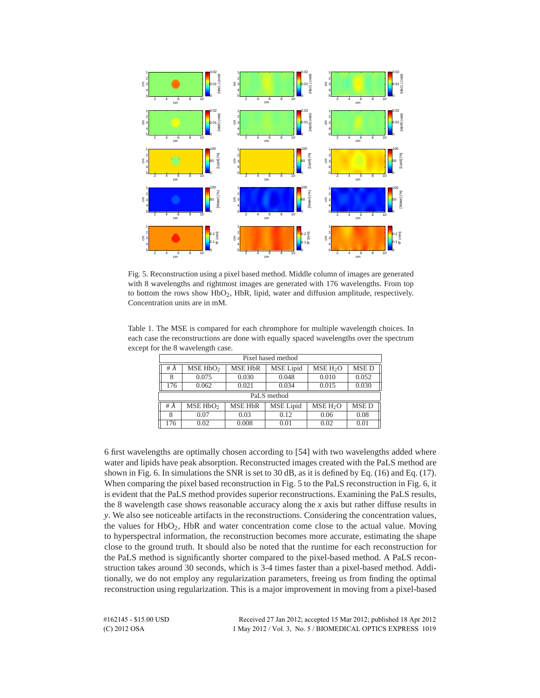

Fig. 5. Reconstruction using a pixel based method. Middle column of images are generated with 8 wavelengths and rightmost images are generated with 176 wavelengths. From top to bottom the rows show HbO2, HbR, lipid, water and diffusion amplitude, respectively. Concentration units are in mM.

Table 1. The MSE is compared for each chromphore for multiple wavelength choices. In each case the reconstructions are done with equally spaced wavelengths over the spectrum except for the 8 wavelength case.

| Pixel based method |                                                                                             |       |       |       |       |  |  |  |  |  |  |
|--------------------|---------------------------------------------------------------------------------------------|-------|-------|-------|-------|--|--|--|--|--|--|
| #λ                 | <b>MSED</b><br>MSE HbO <sub>2</sub><br>MSE HbR<br><b>MSE</b> Lipid<br>MSE H <sub>2</sub> O  |       |       |       |       |  |  |  |  |  |  |
| 8                  | 0.075                                                                                       | 0.030 | 0.048 | 0.010 | 0.052 |  |  |  |  |  |  |
| 176                | 0.062                                                                                       | 0.021 | 0.034 | 0.015 | 0.030 |  |  |  |  |  |  |
|                    | PaLS method                                                                                 |       |       |       |       |  |  |  |  |  |  |
| # $\lambda$        | MSE HbO <sub>2</sub><br>MSE D<br><b>MSE HbR</b><br><b>MSE</b> Lipid<br>MSE H <sub>2</sub> O |       |       |       |       |  |  |  |  |  |  |
| 8                  | 0.07                                                                                        | 0.03  | 0.12  | 0.06  | 0.08  |  |  |  |  |  |  |
| 176                | 0.02                                                                                        | 0.008 | 0.01  | 0.02  | 0.01  |  |  |  |  |  |  |

6 first wavelengths are optimally chosen according to [54] with two wavelengths added where water and lipids have peak absorption. Reconstructed images created with the PaLS method are shown in Fig. 6. In simulations the SNR is set to 30 dB, as it is defined by Eq. (16) and Eq. (17). When comparing the pixel based reconstruction in Fig. 5 to the PaLS reconstruction in Fig. 6, it is evident that the PaLS method provides superior reconstructions. Examining the PaLS results, the 8 wavelength case shows reasonable accuracy along the *x* axis but rather diffuse results in *y*. We also see noticeable artifacts in the reconstructions. Considering the concentration values, the values for HbO2, HbR and water concentration come close to the actual value. Moving to hyperspectral information, the reconstruction becomes more accurate, estimating the shape close to the ground truth. It should also be noted that the runtime for each reconstruction for the PaLS method is significantly shorter compared to the pixel-based method. A PaLS reconstruction takes around 30 seconds, which is 3-4 times faster than a pixel-based method. Additionally, we do not employ any regularization parameters, freeing us from finding the optimal reconstruction using regularization. This is a major improvement in moving from a pixel-based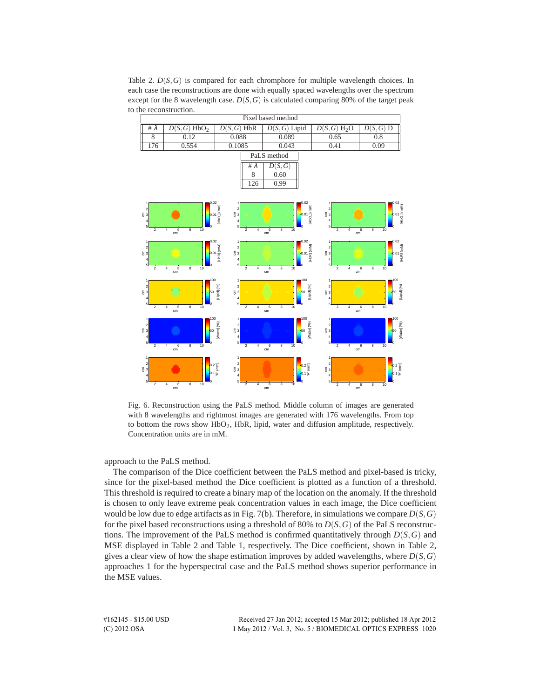Table 2. *D*(*S*,*G*) is compared for each chromphore for multiple wavelength choices. In each case the reconstructions are done with equally spaced wavelengths over the spectrum except for the 8 wavelength case.  $D(S, G)$  is calculated comparing 80% of the target peak to the reconstruction.



Fig. 6. Reconstruction using the PaLS method. Middle column of images are generated with 8 wavelengths and rightmost images are generated with 176 wavelengths. From top to bottom the rows show HbO<sub>2</sub>, HbR, lipid, water and diffusion amplitude, respectively. Concentration units are in mM.

approach to the PaLS method.

The comparison of the Dice coefficient between the PaLS method and pixel-based is tricky, since for the pixel-based method the Dice coefficient is plotted as a function of a threshold. This threshold is required to create a binary map of the location on the anomaly. If the threshold is chosen to only leave extreme peak concentration values in each image, the Dice coefficient would be low due to edge artifacts as in Fig. 7(b). Therefore, in simulations we compare  $D(S, G)$ for the pixel based reconstructions using a threshold of 80% to  $D(S, G)$  of the PaLS reconstructions. The improvement of the PaLS method is confirmed quantitatively through  $D(S, G)$  and MSE displayed in Table 2 and Table 1, respectively. The Dice coefficient, shown in Table 2, gives a clear view of how the shape estimation improves by added wavelengths, where  $D(S, G)$ approaches 1 for the hyperspectral case and the PaLS method shows superior performance in the MSE values.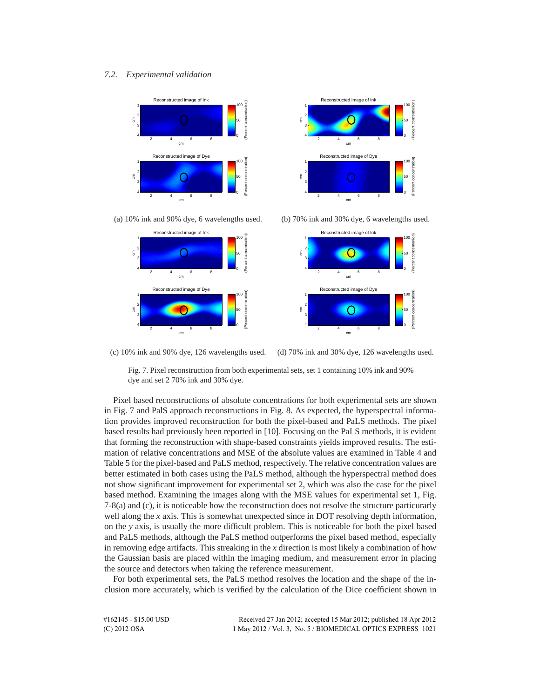# *7.2. Experimental validation*









(c) 10% ink and 90% dye, 126 wavelengths used. (d) 70% ink and 30% dye, 126 wavelengths used.

Fig. 7. Pixel reconstruction from both experimental sets, set 1 containing 10% ink and 90% dye and set 2 70% ink and 30% dye.

Pixel based reconstructions of absolute concentrations for both experimental sets are shown in Fig. 7 and PalS approach reconstructions in Fig. 8. As expected, the hyperspectral information provides improved reconstruction for both the pixel-based and PaLS methods. The pixel based results had previously been reported in [10]. Focusing on the PaLS methods, it is evident that forming the reconstruction with shape-based constraints yields improved results. The estimation of relative concentrations and MSE of the absolute values are examined in Table 4 and Table 5 for the pixel-based and PaLS method, respectively. The relative concentration values are better estimated in both cases using the PaLS method, although the hyperspectral method does not show significant improvement for experimental set 2, which was also the case for the pixel based method. Examining the images along with the MSE values for experimental set 1, Fig. 7-8(a) and (c), it is noticeable how the reconstruction does not resolve the structure particurarly well along the *x* axis. This is somewhat unexpected since in DOT resolving depth information, on the *y* axis, is usually the more difficult problem. This is noticeable for both the pixel based and PaLS methods, although the PaLS method outperforms the pixel based method, especially in removing edge artifacts. This streaking in the *x* direction is most likely a combination of how the Gaussian basis are placed within the imaging medium, and measurement error in placing the source and detectors when taking the reference measurement.

For both experimental sets, the PaLS method resolves the location and the shape of the inclusion more accurately, which is verified by the calculation of the Dice coefficient shown in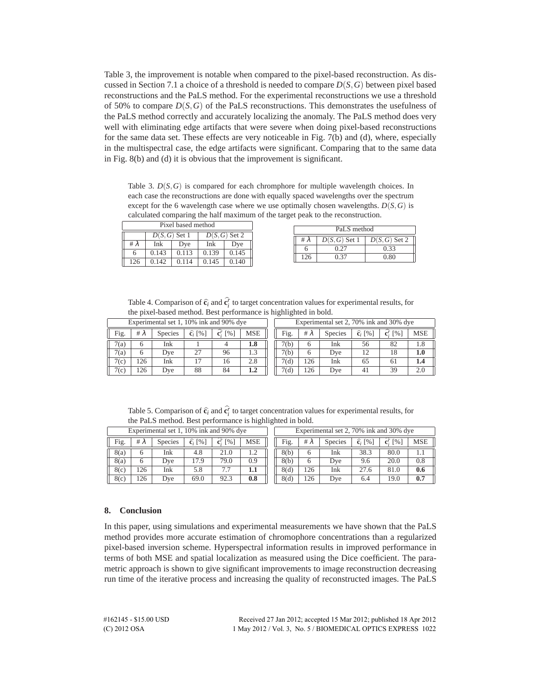Table 3, the improvement is notable when compared to the pixel-based reconstruction. As discussed in Section 7.1 a choice of a threshold is needed to compare  $D(S, G)$  between pixel based reconstructions and the PaLS method. For the experimental reconstructions we use a threshold of 50% to compare *D*(*S*,*G*) of the PaLS reconstructions. This demonstrates the usefulness of the PaLS method correctly and accurately localizing the anomaly. The PaLS method does very well with eliminating edge artifacts that were severe when doing pixel-based reconstructions for the same data set. These effects are very noticeable in Fig. 7(b) and (d), where, especially in the multispectral case, the edge artifacts were significant. Comparing that to the same data in Fig. 8(b) and (d) it is obvious that the improvement is significant.

Table 3. *D*(*S*,*G*) is compared for each chromphore for multiple wavelength choices. In each case the reconstructions are done with equally spaced wavelengths over the spectrum except for the 6 wavelength case where we use optimally chosen wavelengths.  $D(S, G)$  is calculated comparing the half maximum of the target peak to the reconstruction.

| Pixel based method |                 |       |                 |       |  |  |  |  |  |
|--------------------|-----------------|-------|-----------------|-------|--|--|--|--|--|
|                    | $D(S, G)$ Set 1 |       | $D(S, G)$ Set 2 |       |  |  |  |  |  |
| #λ                 | Ink             | Dve   | Ink<br>Dve      |       |  |  |  |  |  |
| 6                  | 0.143           | 0.113 | 0.139           | 0.145 |  |  |  |  |  |
| 126                | 0.142           | 0.114 | 0.145           | 0.140 |  |  |  |  |  |

| PaLS method |                 |                 |  |  |  |  |  |  |
|-------------|-----------------|-----------------|--|--|--|--|--|--|
| # $\lambda$ | $D(S, G)$ Set 1 | $D(S, G)$ Set 2 |  |  |  |  |  |  |
|             | 0.27            | 0.33            |  |  |  |  |  |  |
| 126         | 0.37            | 0.80            |  |  |  |  |  |  |

Table 4. Comparison of  $\hat{\mathbf{c}}_i$  and  $\hat{\mathbf{c}}_i^r$  to target concentration values for experimental results, for the pixel-based method. Best performance is highlighted in bold.

| Experimental set 1, 10% ink and 90% dye |     |                |                              |                                      | Experimental set 2, 70% ink and 30% dye |      |             |                |                              |                                   |            |
|-----------------------------------------|-----|----------------|------------------------------|--------------------------------------|-----------------------------------------|------|-------------|----------------|------------------------------|-----------------------------------|------------|
| Fig.                                    | #λ  | <b>Species</b> | $\widehat{\mathbf{c}}_i$ [%] | $\lceil 96 \rceil$<br>$\mathbf{c}^r$ | <b>MSE</b>                              | Fig. | # $\lambda$ | <b>Species</b> | $\widehat{\mathbf{c}}_i$ [%] | ${\bf c}^r$<br>$\lceil \% \rceil$ | <b>MSE</b> |
| 7(a)                                    |     | Ink            |                              |                                      | $1.8\,$                                 | 7(b) | 6           | Ink            | 56                           | 82                                | 1.8        |
| 7(a)                                    |     | Dve            | 27                           | 96                                   |                                         | 7(b) | 6           | Dve            |                              | 18                                | $1.0\,$    |
| 7(c)                                    | 126 | Ink            |                              | 16                                   | 2.8                                     | 7(d) | 126         | Ink            | 65                           | 61                                | 1.4        |
| 7(c)                                    | 126 | Dve            | 88                           | 84                                   | 1.2                                     | 7(d) | 126         | Dve            | 41                           | 39                                | 2.0        |

Table 5. Comparison of  $\hat{\mathbf{c}}_i$  and  $\hat{\mathbf{c}}_i^r$  to target concentration values for experimental results, for the PaLS method. Best performance is highlighted in bold.

| Experimental set 1, 10% ink and 90% dye |             |                |                            |                                            |            |      | Experimental set 2, 70% ink and 30% dye |                |                            |                                 |            |
|-----------------------------------------|-------------|----------------|----------------------------|--------------------------------------------|------------|------|-----------------------------------------|----------------|----------------------------|---------------------------------|------------|
| Fig.                                    | # $\lambda$ | <b>Species</b> | $\widehat{\mathbf{c}}$ [%] | $\lceil \frac{9}{6} \rceil$<br>${\bf c}^r$ | <b>MSE</b> | Fig. | # $\lambda$                             | <b>Species</b> | $\widehat{\mathbf{c}}$ [%] | $\lceil\% \rceil$<br>${\bf c}'$ | <b>MSE</b> |
| 8(a)                                    |             | Ink            | 4.8                        | 21.0                                       |            | 8(b) | h                                       | Ink            | 38.3                       | 80.0                            |            |
| 8(a)                                    |             | Dve            | 17.9                       | 79.0                                       | 0.9        | 8(b) | h                                       | Dve            | 9.6                        | 20.0                            | 0.8        |
| 8(c)                                    | 126         | Ink            | 5.8                        |                                            | 1.1        | 8(d) | 126                                     | Ink            | 27.6                       | 81.0                            | 0.6        |
| 8(c)                                    | 26          | Dve            | 69.0                       | 92.3                                       | 0.8        | 8(d) | 126                                     | Dve            | 6.4                        | 19.0                            | 0.7        |

#### **8. Conclusion**

In this paper, using simulations and experimental measurements we have shown that the PaLS method provides more accurate estimation of chromophore concentrations than a regularized pixel-based inversion scheme. Hyperspectral information results in improved performance in terms of both MSE and spatial localization as measured using the Dice coefficient. The parametric approach is shown to give significant improvements to image reconstruction decreasing run time of the iterative process and increasing the quality of reconstructed images. The PaLS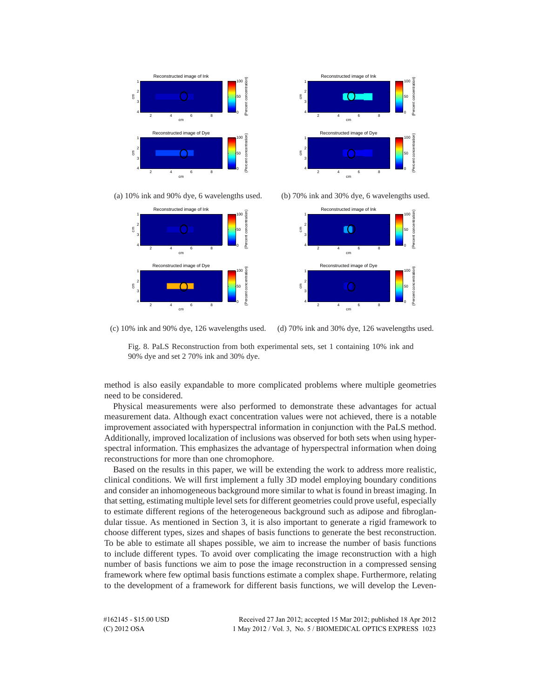





(a) 10% ink and 90% dye, 6 wavelengths used. (b) 70% ink and 30% dye, 6 wavelengths used.



(c) 10% ink and 90% dye, 126 wavelengths used. (d) 70% ink and 30% dye, 126 wavelengths used.



method is also easily expandable to more complicated problems where multiple geometries need to be considered.

Physical measurements were also performed to demonstrate these advantages for actual measurement data. Although exact concentration values were not achieved, there is a notable improvement associated with hyperspectral information in conjunction with the PaLS method. Additionally, improved localization of inclusions was observed for both sets when using hyperspectral information. This emphasizes the advantage of hyperspectral information when doing reconstructions for more than one chromophore.

Based on the results in this paper, we will be extending the work to address more realistic, clinical conditions. We will first implement a fully 3D model employing boundary conditions and consider an inhomogeneous background more similar to what is found in breast imaging. In that setting, estimating multiple level sets for different geometries could prove useful, especially to estimate different regions of the heterogeneous background such as adipose and fibroglandular tissue. As mentioned in Section 3, it is also important to generate a rigid framework to choose different types, sizes and shapes of basis functions to generate the best reconstruction. To be able to estimate all shapes possible, we aim to increase the number of basis functions to include different types. To avoid over complicating the image reconstruction with a high number of basis functions we aim to pose the image reconstruction in a compressed sensing framework where few optimal basis functions estimate a complex shape. Furthermore, relating to the development of a framework for different basis functions, we will develop the Leven-